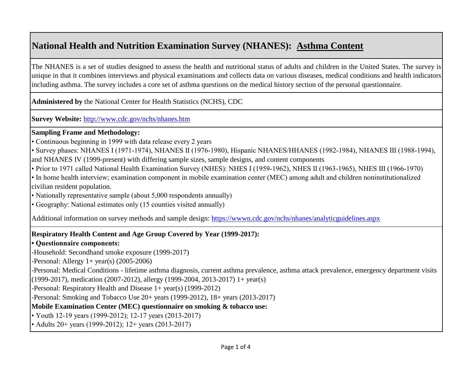# **National Health and Nutrition Examination Survey (NHANES): Asthma Content**

The NHANES is a set of studies designed to assess the health and nutritional status of adults and children in the United States. The survey is unique in that it combines interviews and physical examinations and collects data on various diseases, medical conditions and health indicators including asthma. The survey includes a core set of asthma questions on the medical history section of the personal questionnaire.

**Administered by** the National Center for Health Statistics (NCHS), CDC

**[Survey Website:](http://www.cdc.gov/nchs/nhanes.htm)** <http://www.cdc.gov/nchs/nhanes.htm>

### **Sampling Frame and Methodology:**

• Continuous beginning in 1999 with data release every 2 years

• Survey phases: NHANES I (1971-1974), NHANES II (1976-1980), Hispanic NHANES/HHANES (1982-1984), NHANES III (1988-1994), and NHANES IV (1999-present) with differing sample sizes, sample designs, and content components

• Prior to 1971 called National Health Examination Survey (NHES): NHES I (1959-1962), NHES II (1963-1965), NHES III (1966-1970)

• In home health interview; examination component in mobile examination center (MEC) among adult and children noninstitutionalized civilian resident population.

• Nationally representative sample (about 5,000 respondents annually)

• Geography: National estimates only (15 counties visited annually)

[Additional information on survey methods and sample design: https://wwwn.cdc.gov/nchs/nhanes/analyticguidelines.aspx](https://wwwn.cdc.gov/nchs/nhanes/analyticguidelines.aspx)

### **Respiratory Health Content and Age Group Covered by Year (1999-2017):**

### **• Questionnaire components:**

-Household: Secondhand smoke exposure (1999-2017)

-Personal: Allergy  $1+$  year(s) (2005-2006)

-Personal: Medical Conditions - lifetime asthma diagnosis, current asthma prevalence, asthma attack prevalence, emergency department visits (1999-2017), medication (2007-2012), allergy (1999-2004, 2013-2017) 1+ year(s)

-Personal: Respiratory Health and Disease 1+ year(s) (1999-2012)

-Personal: Smoking and Tobacco Use 20+ years (1999-2012), 18+ years (2013-2017)

**Mobile Examination Center (MEC) questionnaire on smoking & tobacco use:**

• Youth 12-19 years (1999-2012); 12-17 years (2013-2017)

• Adults 20+ years (1999-2012); 12+ years (2013-2017)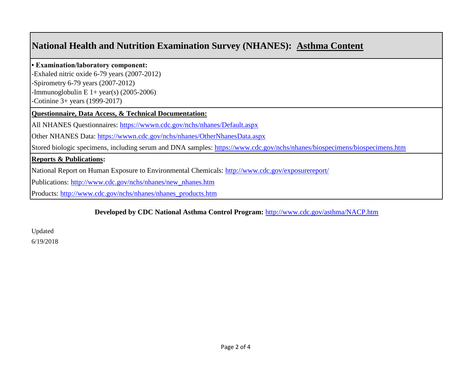## **National Health and Nutrition Examination Survey (NHANES): Asthma Content**

#### **• Examination/laboratory component:**

-Exhaled nitric oxide 6-79 years (2007-2012) -Spirometry 6-79 years (2007-2012)

-Immunoglobulin E  $1+$  year(s) (2005-2006)

-Cotinine 3+ years (1999-2017)

### **Questionnaire, Data Access, & Technical Documentation:**

[All NHANES Questionnaires: https://wwwn.cdc.gov/nchs/nhanes/Default.aspx](https://wwwn.cdc.gov/nchs/nhanes/Default.aspx)

[Other NHANES Data: https://wwwn.cdc.gov/nchs/nhanes/OtherNhanesData.aspx](https://wwwn.cdc.gov/nchs/nhanes/OtherNhanesData.aspx)

[Stored biologic specimens, including serum and DNA samples: https://www.cdc.gov/nchs/nhanes/biospecimens/biospecimens.htm](https://www.cdc.gov/nchs/nhanes/biospecimens/biospecimens.htm)

### **Reports & Publications:**

[National Report on Human Exposure to Environmental Chemicals: http://www.cdc.gov/exposurereport/](http://www.cdc.gov/exposurereport/)

[Publications: http://www.cdc.gov/nchs/nhanes/new\\_nhanes.htm](http://www.cdc.gov/nchs/nhanes/new_nhanes.htm)

[Products:](http://www.cdc.gov/nchs/nhanes/nhanes_products.htm) [http://www.cdc.gov/nchs/nhanes/nhanes\\_products.htm](http://www.cdc.gov/nchs/nhanes/nhanes_products.htm)

### **[Developed by CDC National Asthma Control Program:](http://www.cdc.gov/asthma/NACP.htm)** <http://www.cdc.gov/asthma/NACP.htm>

Updated 6/19/2018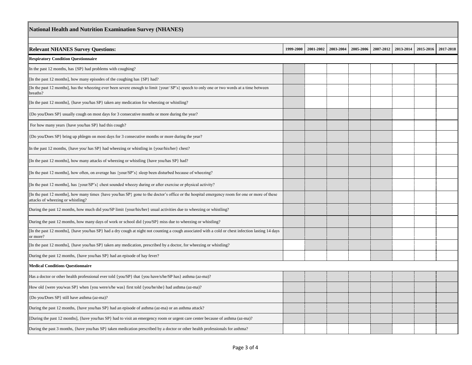| National Health and Nutrition Examination Survey (NHANES)                                                                                                                                                             |           |           |           |           |           |           |           |           |  |  |
|-----------------------------------------------------------------------------------------------------------------------------------------------------------------------------------------------------------------------|-----------|-----------|-----------|-----------|-----------|-----------|-----------|-----------|--|--|
| <b>Relevant NHANES Survey Questions:</b>                                                                                                                                                                              | 1999-2000 | 2001-2002 | 2003-2004 | 2005-2006 | 2007-2012 | 2013-2014 | 2015-2016 | 2017-2018 |  |  |
| <b>Respiratory Condition Questionnaire</b>                                                                                                                                                                            |           |           |           |           |           |           |           |           |  |  |
|                                                                                                                                                                                                                       |           |           |           |           |           |           |           |           |  |  |
| In the past 12 months, has {SP} had problems with coughing?                                                                                                                                                           |           |           |           |           |           |           |           |           |  |  |
| [In the past 12 months], how many episodes of the coughing has {SP} had?<br>[In the past 12 months], has the wheezing ever been severe enough to limit {your/ SP's} speech to only one or two words at a time between |           |           |           |           |           |           |           |           |  |  |
| breaths?                                                                                                                                                                                                              |           |           |           |           |           |           |           |           |  |  |
| [In the past 12 months], {have you/has SP} taken any medication for wheezing or whistling?                                                                                                                            |           |           |           |           |           |           |           |           |  |  |
| Do you/Does SP} usually cough on most days for 3 consecutive months or more during the year?                                                                                                                          |           |           |           |           |           |           |           |           |  |  |
| For how many years {have you/has SP} had this cough?                                                                                                                                                                  |           |           |           |           |           |           |           |           |  |  |
| (Do you/Does SP} bring up phlegm on most days for 3 consecutive months or more during the year?                                                                                                                       |           |           |           |           |           |           |           |           |  |  |
| In the past 12 months, {have you/ has SP} had wheezing or whistling in {your/his/her} chest?                                                                                                                          |           |           |           |           |           |           |           |           |  |  |
| [In the past 12 months], how many attacks of wheezing or whistling {have you/has SP} had?                                                                                                                             |           |           |           |           |           |           |           |           |  |  |
| In the past 12 months], how often, on average has {your/SP's} sleep been disturbed because of wheezing?                                                                                                               |           |           |           |           |           |           |           |           |  |  |
| [In the past 12 months], has {your/SP's} chest sounded wheezy during or after exercise or physical activity?                                                                                                          |           |           |           |           |           |           |           |           |  |  |
| In the past 12 months], how many times {have you/has SP} gone to the doctor's office or the hospital emergency room for one or more of these<br>attacks of wheezing or whistling?                                     |           |           |           |           |           |           |           |           |  |  |
| During the past 12 months, how much did you/SP limit {your/his/her} usual activities due to wheezing or whistling?                                                                                                    |           |           |           |           |           |           |           |           |  |  |
| During the past 12 months, how many days of work or school did {you/SP} miss due to wheezing or whistling?                                                                                                            |           |           |           |           |           |           |           |           |  |  |
| [In the past 12 months], {have you/has SP} had a dry cough at night not counting a cough associated with a cold or chest infection lasting 14 days<br>or more?                                                        |           |           |           |           |           |           |           |           |  |  |
| [In the past 12 months], {have you/has SP} taken any medication, prescribed by a doctor, for wheezing or whistling?                                                                                                   |           |           |           |           |           |           |           |           |  |  |
| During the past 12 months, {have you/has SP} had an episode of hay fever?                                                                                                                                             |           |           |           |           |           |           |           |           |  |  |
| <b>Medical Conditions Questionnaire</b>                                                                                                                                                                               |           |           |           |           |           |           |           |           |  |  |
| Has a doctor or other health professional ever told {you/SP} that {you have/s/he/SP has} asthma (az-ma)?                                                                                                              |           |           |           |           |           |           |           |           |  |  |
| How old {were you/was SP} when {you were/s/he was} first told {you/he/she} had asthma (az-ma)?                                                                                                                        |           |           |           |           |           |           |           |           |  |  |
| {Do you/Does SP} still have asthma (az-ma)?                                                                                                                                                                           |           |           |           |           |           |           |           |           |  |  |
| During the past 12 months, {have you/has SP} had an episode of asthma (az-ma) or an asthma attack?                                                                                                                    |           |           |           |           |           |           |           |           |  |  |
| During the past 12 months], {have you/has SP} had to visit an emergency room or urgent care center because of asthma (az-ma)?                                                                                         |           |           |           |           |           |           |           |           |  |  |
| During the past 3 months, {have you/has SP} taken medication prescribed by a doctor or other health professionals for asthma?                                                                                         |           |           |           |           |           |           |           |           |  |  |